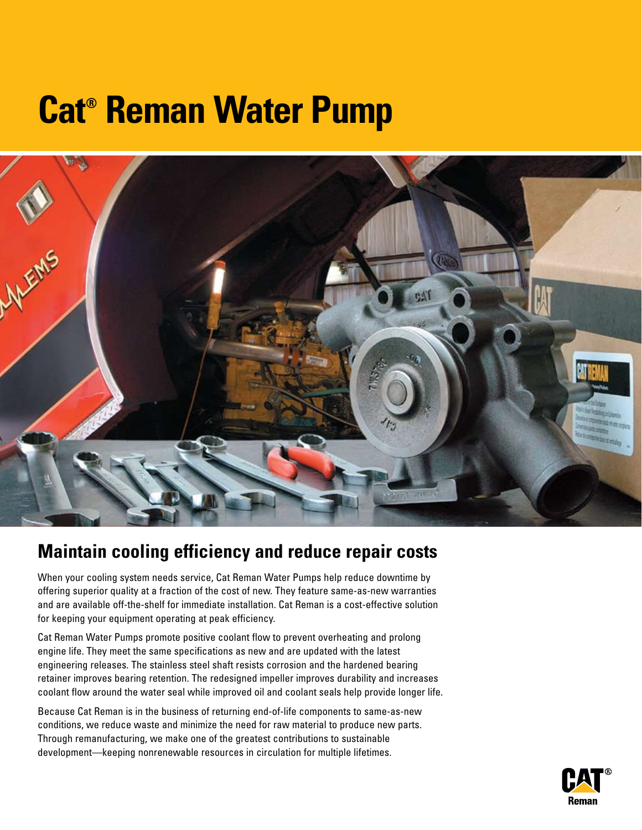# **Cat® Reman Water Pump**



## **Maintain cooling efficiency and reduce repair costs**

When your cooling system needs service, Cat Reman Water Pumps help reduce downtime by offering superior quality at a fraction of the cost of new. They feature same-as-new warranties and are available off-the-shelf for immediate installation. Cat Reman is a cost-effective solution for keeping your equipment operating at peak efficiency.

Cat Reman Water Pumps promote positive coolant flow to prevent overheating and prolong engine life. They meet the same specifications as new and are updated with the latest engineering releases. The stainless steel shaft resists corrosion and the hardened bearing retainer improves bearing retention. The redesigned impeller improves durability and increases coolant flow around the water seal while improved oil and coolant seals help provide longer life.

Because Cat Reman is in the business of returning end-of-life components to same-as-new conditions, we reduce waste and minimize the need for raw material to produce new parts. Through remanufacturing, we make one of the greatest contributions to sustainable development—keeping nonrenewable resources in circulation for multiple lifetimes.